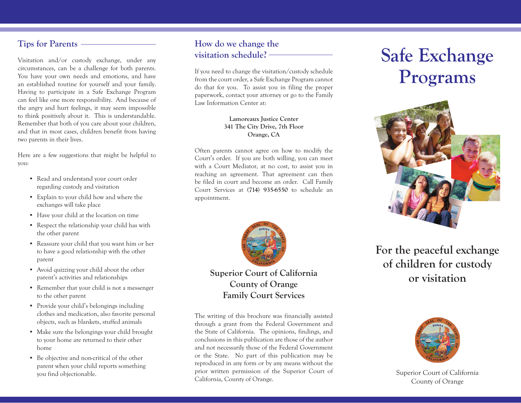#### **Tips for Parents**

Visitation and/or custody exchange, under any circumstances, can be a challenge for both parents. You have your own needs and emotions, and have an established routine for yourself and your family. Having to participate in a Safe Exchange Program can feel like one more responsibility. And because of the angry and hurt feelings, it may seem impossible to think positively about it. This is understandable. Remember that both of you care about your children, and that in most cases, children benefit from having two parents in their lives.

Here are a few suggestions that might be helpful to you:

- Read and understand your court order regarding custody and visitation
- Explain to your child how and where the exchanges will take place
- Have your child at the location on time
- Respect the relationship your child has with the other parent
- Reassure your child that you want him or her to have a good relationship with the other parent
- Avoid quizzing your child about the other parent's activities and relationships
- Remember that your child is not a messenger to the other parent
- Provide your child's belongings including clothes and medication, also favorite personal objects, such as blankets, stuffed animals
- Make sure the belongings your child brought to your home are returned to their other home
- Be objective and non-critical of the other parent when your child reports something you find objectionable.

#### **How do we change the visitation schedule?**

If you need to change the visitation/custody schedule from the court order, a Safe Exchange Program cannot do that for you. To assist you in filing the proper paperwork, contact your attorney or go to the Family Law Information Center at:

#### **Lamoreaux Justice Center 341 The City Drive, 7th Floor Orange, CA**

Often parents cannot agree on how to modify the Court's order. If you are both willing, you can meet with a Court Mediator, at no cost, to assist you in reaching an agreement. That agreement can then be filed in court and become an order. Call Family Court Services at **(714) 935-6550** to schedule an appointment.



**Superior Court of California County of Orange Family Court Services**

The writing of this brochure was financially assisted through a grant from the Federal Government and the State of California. The opinions, findings, and conclusions in this publication are those of the author and not necessarily those of the Federal Government or the State. No part of this publication may be reproduced in any form or by any means without the prior written permission of the Superior Court of California, County of Orange.

# **Safe Exchange Programs**



# **For the peaceful exchange of children for custody or visitation**



Superior Court of California County of Orange